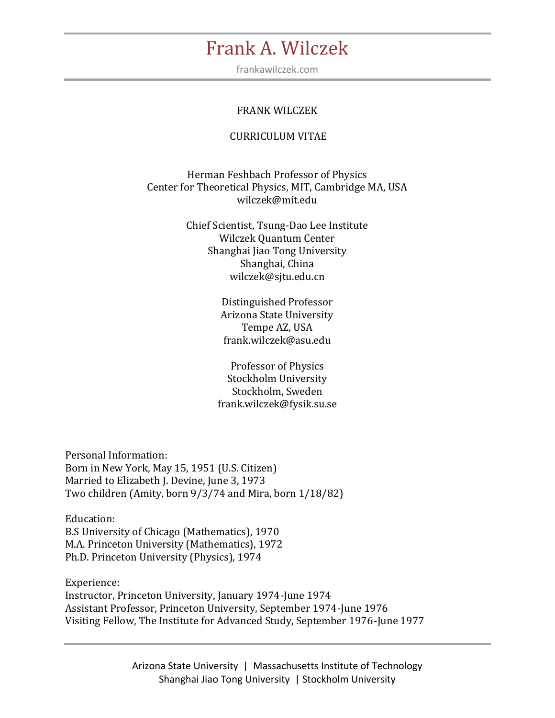frankawilczek.com

#### FRANK WILCZEK

#### CURRICULUM VITAE

Herman Feshbach Professor of Physics Center for Theoretical Physics, MIT, Cambridge MA, USA wilczek@mit.edu

> Chief Scientist, Tsung-Dao Lee Institute Wilczek Quantum Center Shanghai Jiao Tong University Shanghai, China wilczek@sjtu.edu.cn

> > Distinguished Professor Arizona State University Tempe AZ, USA frank.wilczek@asu.edu

Professor of Physics Stockholm University Stockholm, Sweden frank.wilczek@fysik.su.se

Personal Information: Born in New York, May 15, 1951 (U.S. Citizen) Married to Elizabeth J. Devine, June 3, 1973 Two children (Amity, born 9/3/74 and Mira, born 1/18/82)

Education: B.S University of Chicago (Mathematics), 1970 M.A. Princeton University (Mathematics), 1972 Ph.D. Princeton University (Physics), 1974

Experience: Instructor, Princeton University, January 1974-June 1974 Assistant Professor, Princeton University, September 1974-June 1976 Visiting Fellow, The Institute for Advanced Study, September 1976-June 1977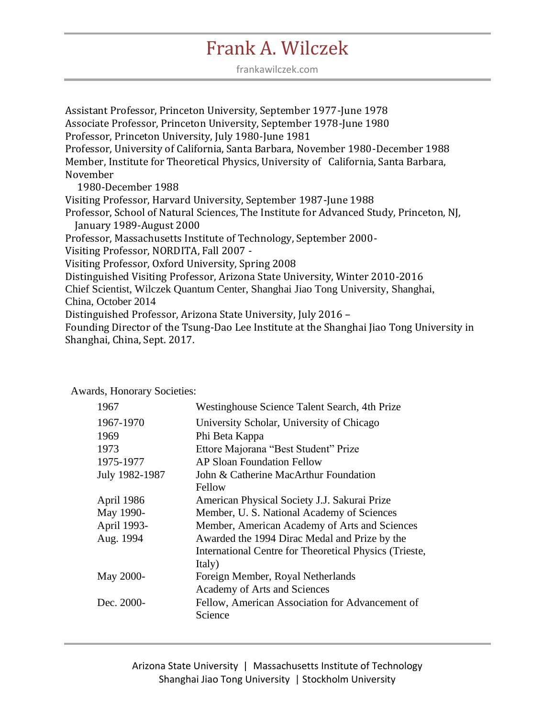frankawilczek.com

Assistant Professor, Princeton University, September 1977-June 1978 Associate Professor, Princeton University, September 1978-June 1980 Professor, Princeton University, July 1980-June 1981 Professor, University of California, Santa Barbara, November 1980-December 1988 Member, Institute for Theoretical Physics, University of California, Santa Barbara, November 1980-December 1988 Visiting Professor, Harvard University, September 1987-June 1988 Professor, School of Natural Sciences, The Institute for Advanced Study, Princeton, NJ, January 1989-August 2000 Professor, Massachusetts Institute of Technology, September 2000- Visiting Professor, NORDITA, Fall 2007 - Visiting Professor, Oxford University, Spring 2008 Distinguished Visiting Professor, Arizona State University, Winter 2010-2016 Chief Scientist, Wilczek Quantum Center, Shanghai Jiao Tong University, Shanghai, China, October 2014 Distinguished Professor, Arizona State University, July 2016 – Founding Director of the Tsung-Dao Lee Institute at the Shanghai Jiao Tong University in Shanghai, China, Sept. 2017.

#### 1967 Westinghouse Science Talent Search, 4th Prize 1967-1970 University Scholar, University of Chicago 1969 Phi Beta Kappa 1973 Ettore Majorana "Best Student" Prize 1975-1977 AP Sloan Foundation Fellow July 1982-1987 John & Catherine MacArthur Foundation Fellow April 1986 American Physical Society J.J. Sakurai Prize May 1990- Member, U. S. National Academy of Sciences April 1993- Member, American Academy of Arts and Sciences Aug. 1994 Awarded the 1994 Dirac Medal and Prize by the International Centre for Theoretical Physics (Trieste, Italy) May 2000- Foreign Member, Royal Netherlands Academy of Arts and Sciences Dec. 2000- Fellow, American Association for Advancement of Science

Awards, Honorary Societies: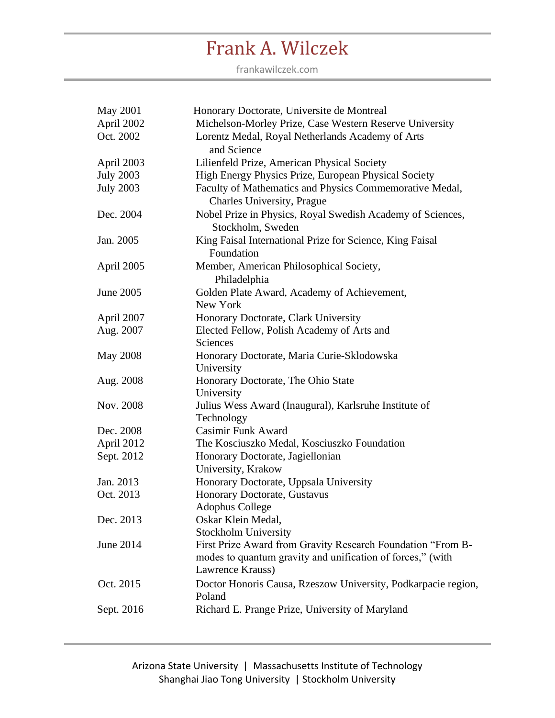| <b>May 2001</b>  | Honorary Doctorate, Universite de Montreal                                                                                                    |
|------------------|-----------------------------------------------------------------------------------------------------------------------------------------------|
| April 2002       | Michelson-Morley Prize, Case Western Reserve University                                                                                       |
| Oct. 2002        | Lorentz Medal, Royal Netherlands Academy of Arts<br>and Science                                                                               |
| April 2003       | Lilienfeld Prize, American Physical Society                                                                                                   |
| <b>July 2003</b> | High Energy Physics Prize, European Physical Society                                                                                          |
| <b>July 2003</b> | Faculty of Mathematics and Physics Commemorative Medal,<br>Charles University, Prague                                                         |
| Dec. 2004        | Nobel Prize in Physics, Royal Swedish Academy of Sciences,<br>Stockholm, Sweden                                                               |
| Jan. 2005        | King Faisal International Prize for Science, King Faisal<br>Foundation                                                                        |
| April 2005       | Member, American Philosophical Society,<br>Philadelphia                                                                                       |
| June 2005        | Golden Plate Award, Academy of Achievement,<br>New York                                                                                       |
| April 2007       | Honorary Doctorate, Clark University                                                                                                          |
| Aug. 2007        | Elected Fellow, Polish Academy of Arts and<br>Sciences                                                                                        |
| <b>May 2008</b>  | Honorary Doctorate, Maria Curie-Sklodowska<br>University                                                                                      |
| Aug. 2008        | Honorary Doctorate, The Ohio State<br>University                                                                                              |
| Nov. 2008        | Julius Wess Award (Inaugural), Karlsruhe Institute of<br>Technology                                                                           |
| Dec. 2008        | <b>Casimir Funk Award</b>                                                                                                                     |
| April 2012       | The Kosciuszko Medal, Kosciuszko Foundation                                                                                                   |
| Sept. 2012       | Honorary Doctorate, Jagiellonian<br>University, Krakow                                                                                        |
| Jan. 2013        | Honorary Doctorate, Uppsala University                                                                                                        |
| Oct. 2013        | Honorary Doctorate, Gustavus<br><b>Adophus College</b>                                                                                        |
| Dec. 2013        | Oskar Klein Medal,<br><b>Stockholm University</b>                                                                                             |
| June 2014        | First Prize Award from Gravity Research Foundation "From B-<br>modes to quantum gravity and unification of forces," (with<br>Lawrence Krauss) |
| Oct. 2015        | Doctor Honoris Causa, Rzeszow University, Podkarpacie region,<br>Poland                                                                       |
| Sept. 2016       | Richard E. Prange Prize, University of Maryland                                                                                               |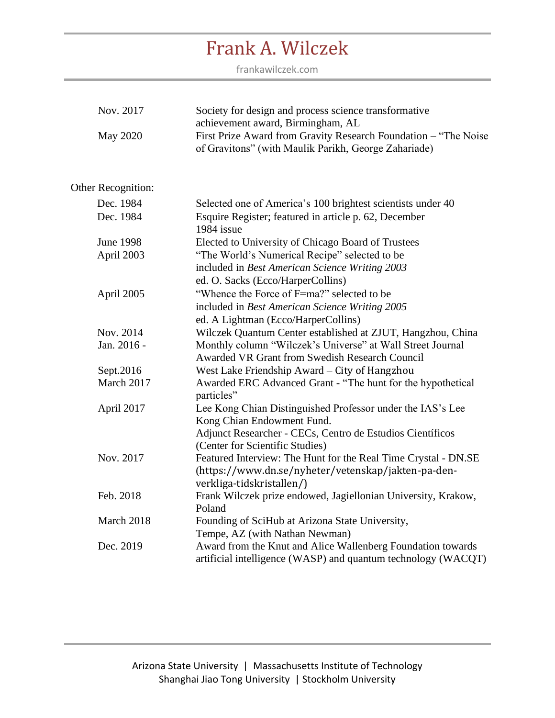| Nov. 2017          | Society for design and process science transformative<br>achievement award, Birmingham, AL                               |
|--------------------|--------------------------------------------------------------------------------------------------------------------------|
| May 2020           | First Prize Award from Gravity Research Foundation - "The Noise"<br>of Gravitons" (with Maulik Parikh, George Zahariade) |
| Other Recognition: |                                                                                                                          |
|                    |                                                                                                                          |
| Dec. 1984          | Selected one of America's 100 brightest scientists under 40                                                              |
| Dec. 1984          | Esquire Register; featured in article p. 62, December<br>1984 issue                                                      |
| <b>June 1998</b>   | Elected to University of Chicago Board of Trustees                                                                       |
| April 2003         | "The World's Numerical Recipe" selected to be                                                                            |
|                    | included in Best American Science Writing 2003                                                                           |
|                    | ed. O. Sacks (Ecco/HarperCollins)                                                                                        |
| April 2005         | "Whence the Force of F=ma?" selected to be                                                                               |
|                    | included in Best American Science Writing 2005                                                                           |
|                    | ed. A Lightman (Ecco/HarperCollins)                                                                                      |
| Nov. 2014          | Wilczek Quantum Center established at ZJUT, Hangzhou, China                                                              |
| Jan. 2016 -        | Monthly column "Wilczek's Universe" at Wall Street Journal                                                               |
|                    | <b>Awarded VR Grant from Swedish Research Council</b>                                                                    |
| Sept.2016          | West Lake Friendship Award – City of Hangzhou                                                                            |
| March 2017         | Awarded ERC Advanced Grant - "The hunt for the hypothetical<br>particles"                                                |
| April 2017         | Lee Kong Chian Distinguished Professor under the IAS's Lee                                                               |
|                    | Kong Chian Endowment Fund.                                                                                               |
|                    | Adjunct Researcher - CECs, Centro de Estudios Científicos                                                                |
|                    | (Center for Scientific Studies)                                                                                          |
| Nov. 2017          | Featured Interview: The Hunt for the Real Time Crystal - DN.SE                                                           |
|                    | (https://www.dn.se/nyheter/vetenskap/jakten-pa-den-                                                                      |
|                    | verkliga-tidskristallen/)                                                                                                |
| Feb. 2018          | Frank Wilczek prize endowed, Jagiellonian University, Krakow,<br>Poland                                                  |
| March 2018         | Founding of SciHub at Arizona State University,                                                                          |
|                    | Tempe, AZ (with Nathan Newman)                                                                                           |
| Dec. 2019          | Award from the Knut and Alice Wallenberg Foundation towards                                                              |
|                    | artificial intelligence (WASP) and quantum technology (WACQT)                                                            |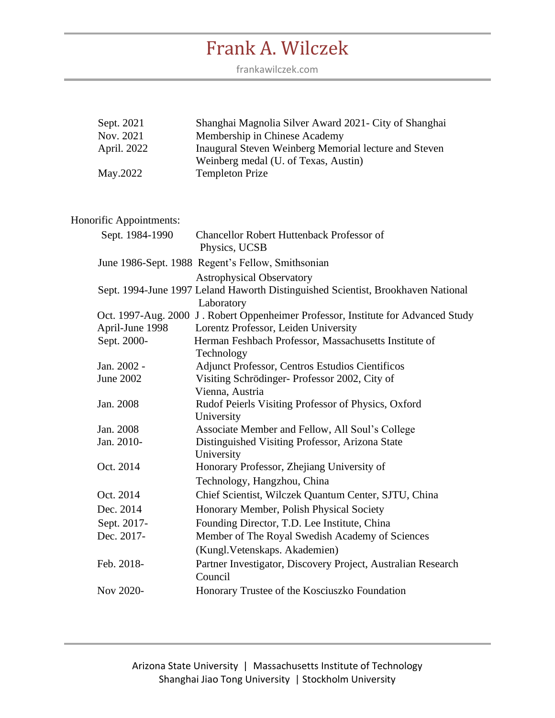frankawilczek.com

| Sept. 2021  | Shanghai Magnolia Silver Award 2021 - City of Shanghai |
|-------------|--------------------------------------------------------|
| Nov. 2021   | Membership in Chinese Academy                          |
| April. 2022 | Inaugural Steven Weinberg Memorial lecture and Steven  |
|             | Weinberg medal (U. of Texas, Austin)                   |
| May.2022    | <b>Templeton Prize</b>                                 |

### Honorific Appointments:

| Sept. 1984-1990 | <b>Chancellor Robert Huttenback Professor of</b><br>Physics, UCSB                                                                  |
|-----------------|------------------------------------------------------------------------------------------------------------------------------------|
|                 | June 1986-Sept. 1988 Regent's Fellow, Smithsonian                                                                                  |
|                 | <b>Astrophysical Observatory</b><br>Sept. 1994-June 1997 Leland Haworth Distinguished Scientist, Brookhaven National<br>Laboratory |
|                 | Oct. 1997-Aug. 2000 J. Robert Oppenheimer Professor, Institute for Advanced Study                                                  |
| April-June 1998 | Lorentz Professor, Leiden University                                                                                               |
| Sept. 2000-     | Herman Feshbach Professor, Massachusetts Institute of                                                                              |
|                 | Technology                                                                                                                         |
| Jan. 2002 -     | <b>Adjunct Professor, Centros Estudios Científicos</b>                                                                             |
| June 2002       | Visiting Schrödinger-Professor 2002, City of                                                                                       |
|                 | Vienna, Austria                                                                                                                    |
| Jan. 2008       | Rudof Peierls Visiting Professor of Physics, Oxford                                                                                |
|                 | University                                                                                                                         |
| Jan. 2008       | Associate Member and Fellow, All Soul's College                                                                                    |
| Jan. 2010-      | Distinguished Visiting Professor, Arizona State                                                                                    |
|                 | University                                                                                                                         |
| Oct. 2014       | Honorary Professor, Zhejiang University of                                                                                         |
|                 | Technology, Hangzhou, China                                                                                                        |
| Oct. 2014       | Chief Scientist, Wilczek Quantum Center, SJTU, China                                                                               |
| Dec. 2014       | Honorary Member, Polish Physical Society                                                                                           |
| Sept. 2017-     | Founding Director, T.D. Lee Institute, China                                                                                       |
| Dec. 2017-      | Member of The Royal Swedish Academy of Sciences                                                                                    |
|                 | (Kungl. Vetenskaps. Akademien)                                                                                                     |
| Feb. 2018-      | Partner Investigator, Discovery Project, Australian Research<br>Council                                                            |
| Nov 2020-       | Honorary Trustee of the Kosciuszko Foundation                                                                                      |
|                 |                                                                                                                                    |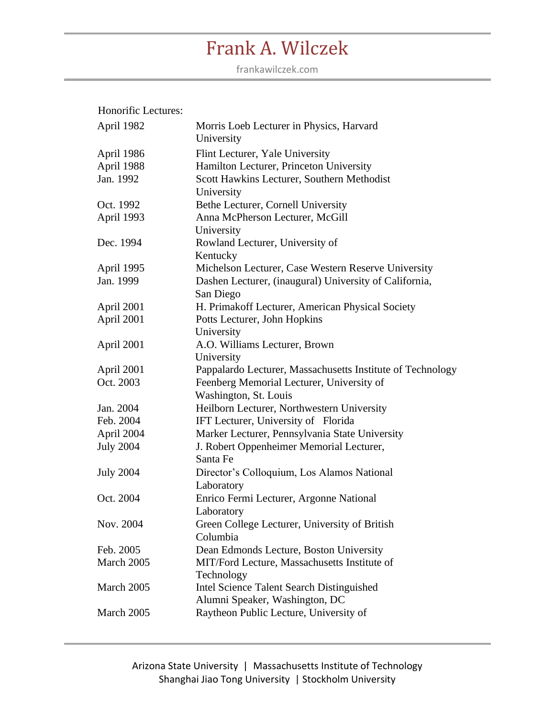| Honorific Lectures: |  |
|---------------------|--|
|                     |  |

| April 1982       | Morris Loeb Lecturer in Physics, Harvard<br>University     |
|------------------|------------------------------------------------------------|
| April 1986       | Flint Lecturer, Yale University                            |
| April 1988       | Hamilton Lecturer, Princeton University                    |
| Jan. 1992        | Scott Hawkins Lecturer, Southern Methodist<br>University   |
| Oct. 1992        | Bethe Lecturer, Cornell University                         |
| April 1993       | Anna McPherson Lecturer, McGill                            |
|                  | University                                                 |
| Dec. 1994        | Rowland Lecturer, University of<br>Kentucky                |
| April 1995       | Michelson Lecturer, Case Western Reserve University        |
| Jan. 1999        | Dashen Lecturer, (inaugural) University of California,     |
|                  | San Diego                                                  |
| April 2001       | H. Primakoff Lecturer, American Physical Society           |
| April 2001       | Potts Lecturer, John Hopkins                               |
|                  | University                                                 |
| April 2001       | A.O. Williams Lecturer, Brown                              |
|                  | University                                                 |
| April 2001       | Pappalardo Lecturer, Massachusetts Institute of Technology |
| Oct. 2003        | Feenberg Memorial Lecturer, University of                  |
|                  | Washington, St. Louis                                      |
| Jan. 2004        | Heilborn Lecturer, Northwestern University                 |
| Feb. 2004        | IFT Lecturer, University of Florida                        |
| April 2004       | Marker Lecturer, Pennsylvania State University             |
| <b>July 2004</b> | J. Robert Oppenheimer Memorial Lecturer,                   |
|                  | Santa Fe                                                   |
| <b>July 2004</b> | Director's Colloquium, Los Alamos National                 |
|                  | Laboratory                                                 |
| Oct. 2004        | Enrico Fermi Lecturer, Argonne National                    |
|                  | Laboratory                                                 |
| Nov. 2004        | Green College Lecturer, University of British              |
|                  | Columbia                                                   |
| Feb. 2005        | Dean Edmonds Lecture, Boston University                    |
| March 2005       | MIT/Ford Lecture, Massachusetts Institute of               |
|                  | Technology                                                 |
| March 2005       | Intel Science Talent Search Distinguished                  |
|                  | Alumni Speaker, Washington, DC                             |
| March 2005       | Raytheon Public Lecture, University of                     |
|                  |                                                            |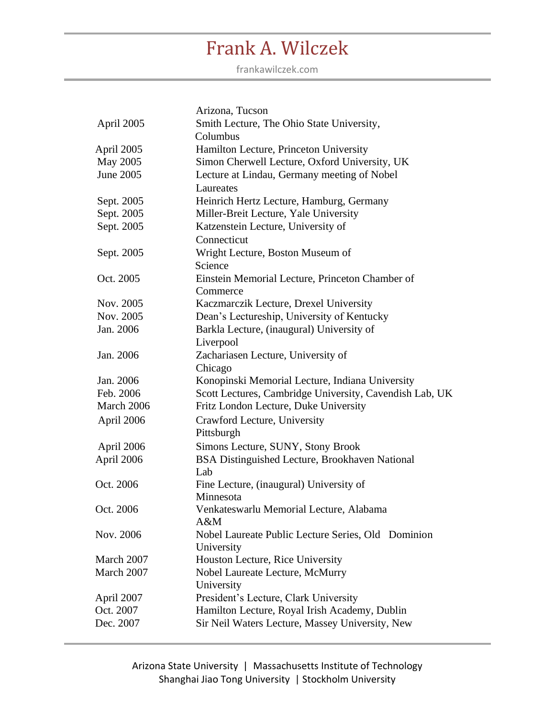|            | Arizona, Tucson                                         |
|------------|---------------------------------------------------------|
| April 2005 | Smith Lecture, The Ohio State University,               |
|            | Columbus                                                |
| April 2005 | Hamilton Lecture, Princeton University                  |
| May 2005   | Simon Cherwell Lecture, Oxford University, UK           |
| June 2005  | Lecture at Lindau, Germany meeting of Nobel             |
|            | Laureates                                               |
| Sept. 2005 | Heinrich Hertz Lecture, Hamburg, Germany                |
| Sept. 2005 | Miller-Breit Lecture, Yale University                   |
| Sept. 2005 | Katzenstein Lecture, University of                      |
|            | Connecticut                                             |
| Sept. 2005 | Wright Lecture, Boston Museum of                        |
|            | Science                                                 |
| Oct. 2005  | Einstein Memorial Lecture, Princeton Chamber of         |
|            | Commerce                                                |
| Nov. 2005  | Kaczmarczik Lecture, Drexel University                  |
| Nov. 2005  | Dean's Lectureship, University of Kentucky              |
| Jan. 2006  | Barkla Lecture, (inaugural) University of               |
|            | Liverpool                                               |
| Jan. 2006  | Zachariasen Lecture, University of                      |
|            | Chicago                                                 |
| Jan. 2006  | Konopinski Memorial Lecture, Indiana University         |
| Feb. 2006  | Scott Lectures, Cambridge University, Cavendish Lab, UK |
| March 2006 | Fritz London Lecture, Duke University                   |
| April 2006 | Crawford Lecture, University                            |
|            | Pittsburgh                                              |
| April 2006 | Simons Lecture, SUNY, Stony Brook                       |
| April 2006 | BSA Distinguished Lecture, Brookhaven National          |
|            | Lab                                                     |
| Oct. 2006  | Fine Lecture, (inaugural) University of                 |
|            | Minnesota                                               |
| Oct. 2006  | Venkateswarlu Memorial Lecture, Alabama                 |
|            | A&M                                                     |
| Nov. 2006  | Nobel Laureate Public Lecture Series, Old Dominion      |
|            | University                                              |
| March 2007 | Houston Lecture, Rice University                        |
| March 2007 | Nobel Laureate Lecture, McMurry                         |
|            | University                                              |
| April 2007 | President's Lecture, Clark University                   |
| Oct. 2007  | Hamilton Lecture, Royal Irish Academy, Dublin           |
| Dec. 2007  | Sir Neil Waters Lecture, Massey University, New         |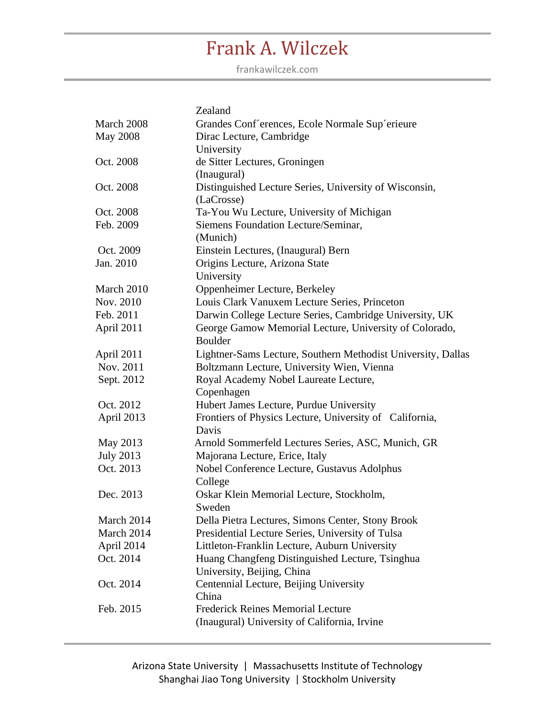|                  | Zealand                                                      |
|------------------|--------------------------------------------------------------|
| March 2008       | Grandes Conf'erences, Ecole Normale Sup'erieure              |
| <b>May 2008</b>  | Dirac Lecture, Cambridge                                     |
|                  | University                                                   |
| Oct. 2008        | de Sitter Lectures, Groningen                                |
|                  | (Inaugural)                                                  |
| Oct. 2008        | Distinguished Lecture Series, University of Wisconsin,       |
|                  | (LaCrosse)                                                   |
| Oct. 2008        | Ta-You Wu Lecture, University of Michigan                    |
| Feb. 2009        | Siemens Foundation Lecture/Seminar,                          |
|                  | (Munich)                                                     |
| Oct. 2009        | Einstein Lectures, (Inaugural) Bern                          |
| Jan. 2010        | Origins Lecture, Arizona State                               |
|                  | University                                                   |
| March 2010       | Oppenheimer Lecture, Berkeley                                |
| Nov. 2010        | Louis Clark Vanuxem Lecture Series, Princeton                |
| Feb. 2011        | Darwin College Lecture Series, Cambridge University, UK      |
| April 2011       | George Gamow Memorial Lecture, University of Colorado,       |
|                  | <b>Boulder</b>                                               |
| April 2011       | Lightner-Sams Lecture, Southern Methodist University, Dallas |
| Nov. 2011        | Boltzmann Lecture, University Wien, Vienna                   |
| Sept. 2012       | Royal Academy Nobel Laureate Lecture,                        |
|                  | Copenhagen                                                   |
| Oct. 2012        | Hubert James Lecture, Purdue University                      |
| April 2013       | Frontiers of Physics Lecture, University of California,      |
|                  | Davis                                                        |
| May 2013         | Arnold Sommerfeld Lectures Series, ASC, Munich, GR           |
| <b>July 2013</b> | Majorana Lecture, Erice, Italy                               |
| Oct. 2013        | Nobel Conference Lecture, Gustavus Adolphus                  |
|                  | College                                                      |
| Dec. 2013        | Oskar Klein Memorial Lecture, Stockholm,                     |
|                  | Sweden                                                       |
| March 2014       | Della Pietra Lectures, Simons Center, Stony Brook            |
| March 2014       | Presidential Lecture Series, University of Tulsa             |
| April 2014       | Littleton-Franklin Lecture, Auburn University                |
| Oct. 2014        | Huang Changfeng Distinguished Lecture, Tsinghua              |
|                  | University, Beijing, China                                   |
| Oct. 2014        | Centennial Lecture, Beijing University                       |
|                  | China                                                        |
| Feb. 2015        | <b>Frederick Reines Memorial Lecture</b>                     |
|                  | (Inaugural) University of California, Irvine                 |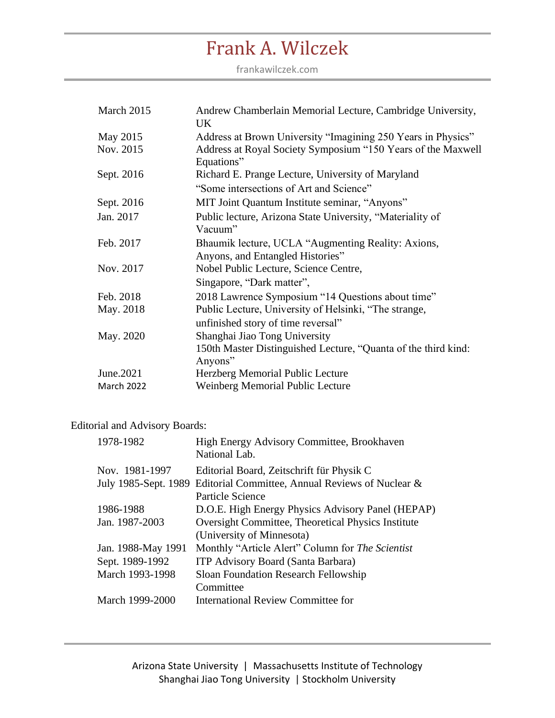frankawilczek.com

| March 2015 | Andrew Chamberlain Memorial Lecture, Cambridge University,<br>UK           |
|------------|----------------------------------------------------------------------------|
| May 2015   | Address at Brown University "Imagining 250 Years in Physics"               |
| Nov. 2015  | Address at Royal Society Symposium "150 Years of the Maxwell<br>Equations" |
| Sept. 2016 | Richard E. Prange Lecture, University of Maryland                          |
|            | "Some intersections of Art and Science"                                    |
| Sept. 2016 | MIT Joint Quantum Institute seminar, "Anyons"                              |
| Jan. 2017  | Public lecture, Arizona State University, "Materiality of<br>Vacuum"       |
| Feb. 2017  | Bhaumik lecture, UCLA "Augmenting Reality: Axions,                         |
|            | Anyons, and Entangled Histories"                                           |
| Nov. 2017  | Nobel Public Lecture, Science Centre,                                      |
|            | Singapore, "Dark matter",                                                  |
| Feb. 2018  | 2018 Lawrence Symposium "14 Questions about time"                          |
| May. 2018  | Public Lecture, University of Helsinki, "The strange,                      |
|            | unfinished story of time reversal"                                         |
| May. 2020  | Shanghai Jiao Tong University                                              |
|            | 150th Master Distinguished Lecture, "Quanta of the third kind:<br>Anyons"  |
| June.2021  | Herzberg Memorial Public Lecture                                           |
| March 2022 | Weinberg Memorial Public Lecture                                           |

### Editorial and Advisory Boards:

| 1978-1982          | High Energy Advisory Committee, Brookhaven<br>National Lab.           |
|--------------------|-----------------------------------------------------------------------|
| Nov. 1981-1997     | Editorial Board, Zeitschrift für Physik C                             |
|                    | July 1985-Sept. 1989 Editorial Committee, Annual Reviews of Nuclear & |
|                    | Particle Science                                                      |
| 1986-1988          | D.O.E. High Energy Physics Advisory Panel (HEPAP)                     |
| Jan. 1987-2003     | <b>Oversight Committee, Theoretical Physics Institute</b>             |
|                    | (University of Minnesota)                                             |
| Jan. 1988-May 1991 | Monthly "Article Alert" Column for The Scientist                      |
| Sept. 1989-1992    | <b>ITP Advisory Board (Santa Barbara)</b>                             |
| March 1993-1998    | Sloan Foundation Research Fellowship                                  |
|                    | Committee                                                             |
| March 1999-2000    | <b>International Review Committee for</b>                             |
|                    |                                                                       |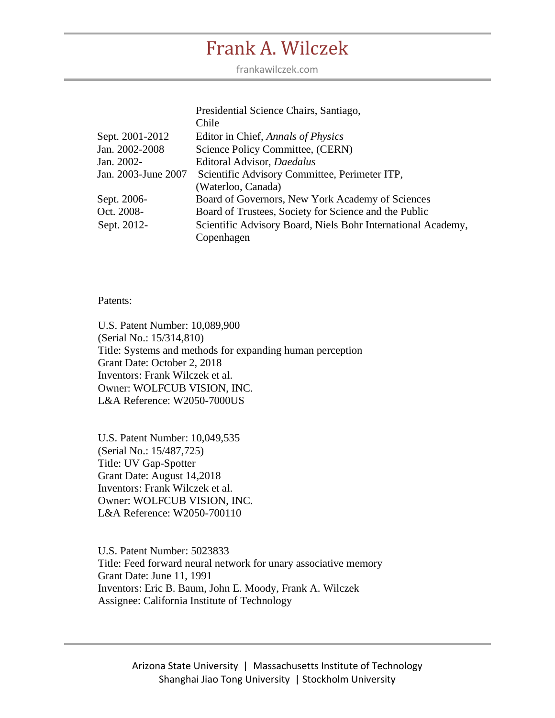frankawilczek.com

|                     | Presidential Science Chairs, Santiago,                       |
|---------------------|--------------------------------------------------------------|
|                     | Chile                                                        |
| Sept. 2001-2012     | Editor in Chief, Annals of Physics                           |
| Jan. 2002-2008      | Science Policy Committee, (CERN)                             |
| Jan. 2002-          | Editoral Advisor, Daedalus                                   |
| Jan. 2003-June 2007 | Scientific Advisory Committee, Perimeter ITP,                |
|                     | (Waterloo, Canada)                                           |
| Sept. 2006-         | Board of Governors, New York Academy of Sciences             |
| Oct. 2008-          | Board of Trustees, Society for Science and the Public        |
| Sept. 2012-         | Scientific Advisory Board, Niels Bohr International Academy, |
|                     | Copenhagen                                                   |

Patents:

U.S. Patent Number: 10,089,900 (Serial No.: 15/314,810) Title: Systems and methods for expanding human perception Grant Date: October 2, 2018 Inventors: Frank Wilczek et al. Owner: WOLFCUB VISION, INC. L&A Reference: W2050-7000US

U.S. Patent Number: 10,049,535 (Serial No.: 15/487,725) Title: UV Gap-Spotter Grant Date: August 14,2018 Inventors: Frank Wilczek et al. Owner: WOLFCUB VISION, INC. L&A Reference: W2050-700110

U.S. Patent Number: 5023833 Title: [Feed forward neural network for unary associative memory](https://patents.justia.com/patent/5023833) Grant Date: June 11, 1991 Inventors: Eric B. Baum, John E. Moody, Frank A. Wilczek Assignee: California Institute of Technology